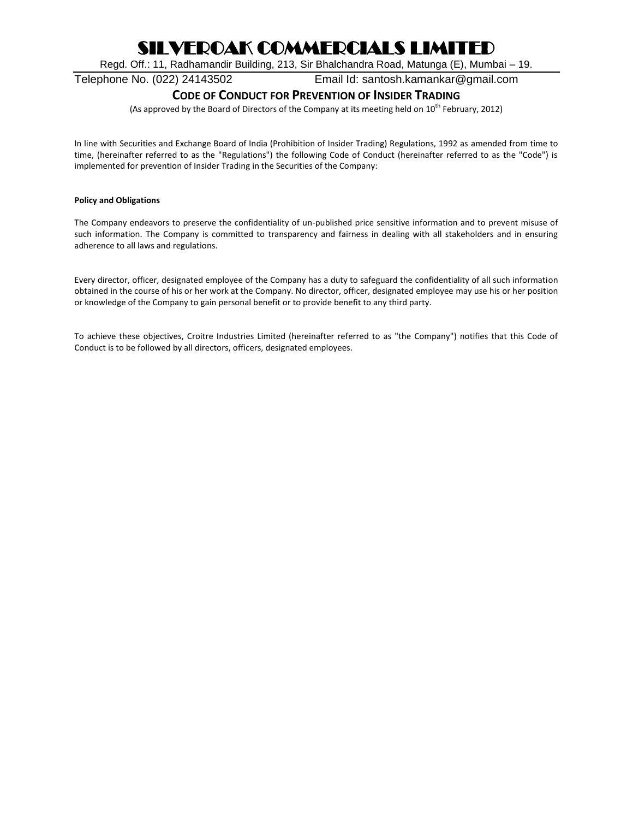Regd. Off.: 11, Radhamandir Building, 213, Sir Bhalchandra Road, Matunga (E), Mumbai – 19.

Telephone No. (022) 24143502 Email Id: santosh.kamankar@gmail.com

### **CODE OF CONDUCT FOR PREVENTION OF INSIDER TRADING**

(As approved by the Board of Directors of the Company at its meeting held on  $10^{th}$  February, 2012)

In line with Securities and Exchange Board of India (Prohibition of Insider Trading) Regulations, 1992 as amended from time to time, (hereinafter referred to as the "Regulations") the following Code of Conduct (hereinafter referred to as the "Code") is implemented for prevention of Insider Trading in the Securities of the Company:

#### **Policy and Obligations**

The Company endeavors to preserve the confidentiality of un-published price sensitive information and to prevent misuse of such information. The Company is committed to transparency and fairness in dealing with all stakeholders and in ensuring adherence to all laws and regulations.

Every director, officer, designated employee of the Company has a duty to safeguard the confidentiality of all such information obtained in the course of his or her work at the Company. No director, officer, designated employee may use his or her position or knowledge of the Company to gain personal benefit or to provide benefit to any third party.

To achieve these objectives, Croitre Industries Limited (hereinafter referred to as "the Company") notifies that this Code of Conduct is to be followed by all directors, officers, designated employees.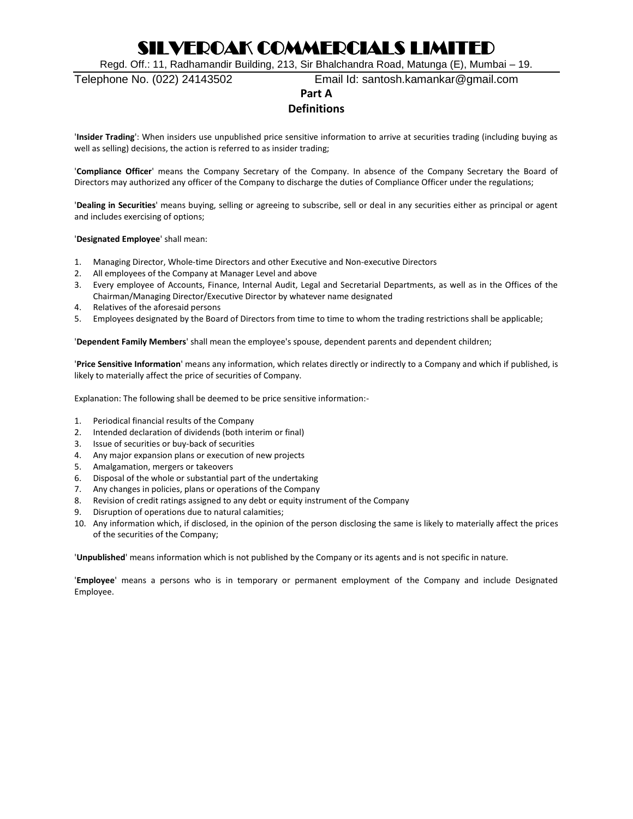Regd. Off.: 11, Radhamandir Building, 213, Sir Bhalchandra Road, Matunga (E), Mumbai – 19.

Telephone No. (022) 24143502 Email Id: santosh.kamankar@gmail.com

### **Part A**

### **Definitions**

'**Insider Trading**': When insiders use unpublished price sensitive information to arrive at securities trading (including buying as well as selling) decisions, the action is referred to as insider trading;

'**Compliance Officer**' means the Company Secretary of the Company. In absence of the Company Secretary the Board of Directors may authorized any officer of the Company to discharge the duties of Compliance Officer under the regulations;

'**Dealing in Securities**' means buying, selling or agreeing to subscribe, sell or deal in any securities either as principal or agent and includes exercising of options;

#### '**Designated Employee**' shall mean:

- 1. Managing Director, Whole-time Directors and other Executive and Non-executive Directors
- 2. All employees of the Company at Manager Level and above
- 3. Every employee of Accounts, Finance, Internal Audit, Legal and Secretarial Departments, as well as in the Offices of the Chairman/Managing Director/Executive Director by whatever name designated
- 4. Relatives of the aforesaid persons
- 5. Employees designated by the Board of Directors from time to time to whom the trading restrictions shall be applicable;

'**Dependent Family Members**' shall mean the employee's spouse, dependent parents and dependent children;

'**Price Sensitive Information**' means any information, which relates directly or indirectly to a Company and which if published, is likely to materially affect the price of securities of Company.

Explanation: The following shall be deemed to be price sensitive information:-

- 1. Periodical financial results of the Company
- 2. Intended declaration of dividends (both interim or final)
- 3. Issue of securities or buy-back of securities
- 4. Any major expansion plans or execution of new projects
- 5. Amalgamation, mergers or takeovers
- 6. Disposal of the whole or substantial part of the undertaking
- 7. Any changes in policies, plans or operations of the Company
- 8. Revision of credit ratings assigned to any debt or equity instrument of the Company
- 9. Disruption of operations due to natural calamities;
- 10. Any information which, if disclosed, in the opinion of the person disclosing the same is likely to materially affect the prices of the securities of the Company;

'**Unpublished**' means information which is not published by the Company or its agents and is not specific in nature.

'**Employee**' means a persons who is in temporary or permanent employment of the Company and include Designated Employee.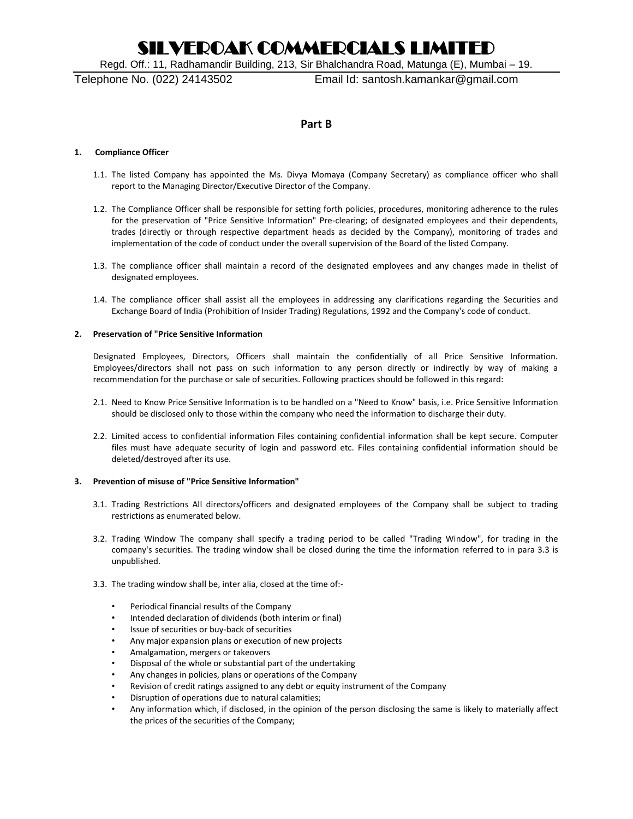Regd. Off.: 11, Radhamandir Building, 213, Sir Bhalchandra Road, Matunga (E), Mumbai – 19.

Telephone No. (022) 24143502 Email Id: santosh.kamankar@gmail.com

#### **Part B**

#### **1. Compliance Officer**

- 1.1. The listed Company has appointed the Ms. Divya Momaya (Company Secretary) as compliance officer who shall report to the Managing Director/Executive Director of the Company.
- 1.2. The Compliance Officer shall be responsible for setting forth policies, procedures, monitoring adherence to the rules for the preservation of "Price Sensitive Information" Pre-clearing; of designated employees and their dependents, trades (directly or through respective department heads as decided by the Company), monitoring of trades and implementation of the code of conduct under the overall supervision of the Board of the listed Company.
- 1.3. The compliance officer shall maintain a record of the designated employees and any changes made in thelist of designated employees.
- 1.4. The compliance officer shall assist all the employees in addressing any clarifications regarding the Securities and Exchange Board of India (Prohibition of Insider Trading) Regulations, 1992 and the Company's code of conduct.

#### **2. Preservation of "Price Sensitive Information**

Designated Employees, Directors, Officers shall maintain the confidentially of all Price Sensitive Information. Employees/directors shall not pass on such information to any person directly or indirectly by way of making a recommendation for the purchase or sale of securities. Following practices should be followed in this regard:

- 2.1. Need to Know Price Sensitive Information is to be handled on a "Need to Know" basis, i.e. Price Sensitive Information should be disclosed only to those within the company who need the information to discharge their duty.
- 2.2. Limited access to confidential information Files containing confidential information shall be kept secure. Computer files must have adequate security of login and password etc. Files containing confidential information should be deleted/destroyed after its use.

#### **3. Prevention of misuse of "Price Sensitive Information"**

- 3.1. Trading Restrictions All directors/officers and designated employees of the Company shall be subject to trading restrictions as enumerated below.
- 3.2. Trading Window The company shall specify a trading period to be called "Trading Window", for trading in the company's securities. The trading window shall be closed during the time the information referred to in para 3.3 is unpublished.
- 3.3. The trading window shall be, inter alia, closed at the time of:-
	- Periodical financial results of the Company
	- Intended declaration of dividends (both interim or final)
	- Issue of securities or buy-back of securities
	- Any major expansion plans or execution of new projects
	- Amalgamation, mergers or takeovers
	- Disposal of the whole or substantial part of the undertaking
	- Any changes in policies, plans or operations of the Company
	- Revision of credit ratings assigned to any debt or equity instrument of the Company
	- Disruption of operations due to natural calamities;
	- Any information which, if disclosed, in the opinion of the person disclosing the same is likely to materially affect the prices of the securities of the Company;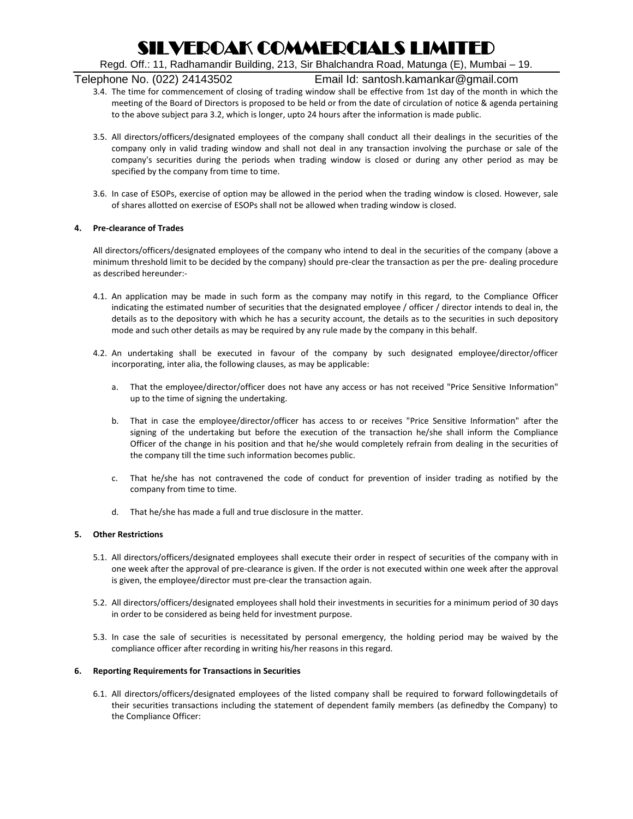Regd. Off.: 11, Radhamandir Building, 213, Sir Bhalchandra Road, Matunga (E), Mumbai – 19.

Telephone No. (022) 24143502 Email Id: santosh.kamankar@gmail.com

- 3.4. The time for commencement of closing of trading window shall be effective from 1st day of the month in which the meeting of the Board of Directors is proposed to be held or from the date of circulation of notice & agenda pertaining to the above subject para 3.2, which is longer, upto 24 hours after the information is made public.
- 3.5. All directors/officers/designated employees of the company shall conduct all their dealings in the securities of the company only in valid trading window and shall not deal in any transaction involving the purchase or sale of the company's securities during the periods when trading window is closed or during any other period as may be specified by the company from time to time.
- 3.6. In case of ESOPs, exercise of option may be allowed in the period when the trading window is closed. However, sale of shares allotted on exercise of ESOPs shall not be allowed when trading window is closed.

#### **4. Pre-clearance of Trades**

All directors/officers/designated employees of the company who intend to deal in the securities of the company (above a minimum threshold limit to be decided by the company) should pre-clear the transaction as per the pre- dealing procedure as described hereunder:-

- 4.1. An application may be made in such form as the company may notify in this regard, to the Compliance Officer indicating the estimated number of securities that the designated employee / officer / director intends to deal in, the details as to the depository with which he has a security account, the details as to the securities in such depository mode and such other details as may be required by any rule made by the company in this behalf.
- 4.2. An undertaking shall be executed in favour of the company by such designated employee/director/officer incorporating, inter alia, the following clauses, as may be applicable:
	- a. That the employee/director/officer does not have any access or has not received "Price Sensitive Information" up to the time of signing the undertaking.
	- b. That in case the employee/director/officer has access to or receives "Price Sensitive Information" after the signing of the undertaking but before the execution of the transaction he/she shall inform the Compliance Officer of the change in his position and that he/she would completely refrain from dealing in the securities of the company till the time such information becomes public.
	- c. That he/she has not contravened the code of conduct for prevention of insider trading as notified by the company from time to time.
	- d. That he/she has made a full and true disclosure in the matter.

#### **5. Other Restrictions**

- 5.1. All directors/officers/designated employees shall execute their order in respect of securities of the company with in one week after the approval of pre-clearance is given. If the order is not executed within one week after the approval is given, the employee/director must pre-clear the transaction again.
- 5.2. All directors/officers/designated employees shall hold their investments in securities for a minimum period of 30 days in order to be considered as being held for investment purpose.
- 5.3. In case the sale of securities is necessitated by personal emergency, the holding period may be waived by the compliance officer after recording in writing his/her reasons in this regard.

#### **6. Reporting Requirements for Transactions in Securities**

6.1. All directors/officers/designated employees of the listed company shall be required to forward followingdetails of their securities transactions including the statement of dependent family members (as definedby the Company) to the Compliance Officer: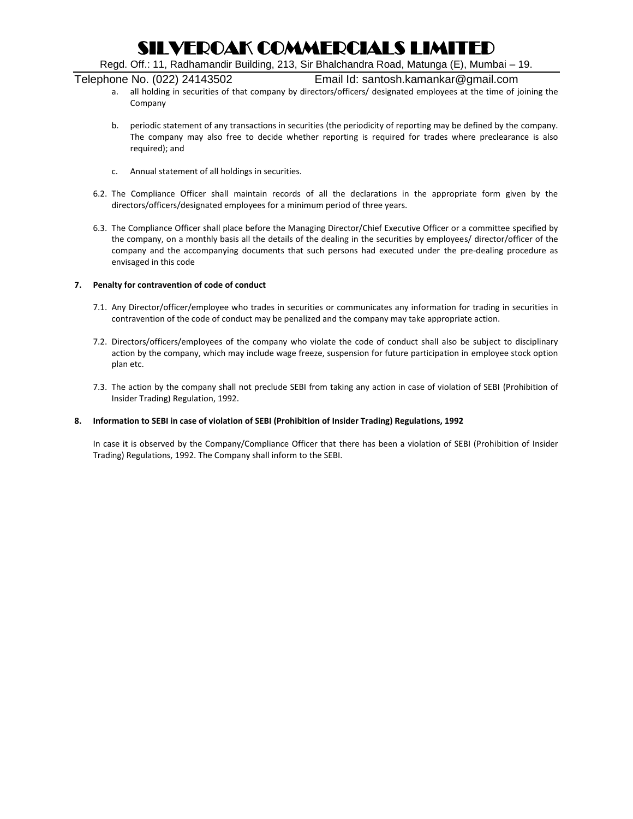Regd. Off.: 11, Radhamandir Building, 213, Sir Bhalchandra Road, Matunga (E), Mumbai – 19.

Telephone No. (022) 24143502 Email Id: santosh.kamankar@gmail.com

- a. all holding in securities of that company by directors/officers/ designated employees at the time of joining the Company
- b. periodic statement of any transactions in securities (the periodicity of reporting may be defined by the company. The company may also free to decide whether reporting is required for trades where preclearance is also required); and
- c. Annual statement of all holdings in securities.
- 6.2. The Compliance Officer shall maintain records of all the declarations in the appropriate form given by the directors/officers/designated employees for a minimum period of three years.
- 6.3. The Compliance Officer shall place before the Managing Director/Chief Executive Officer or a committee specified by the company, on a monthly basis all the details of the dealing in the securities by employees/ director/officer of the company and the accompanying documents that such persons had executed under the pre-dealing procedure as envisaged in this code

#### **7. Penalty for contravention of code of conduct**

- 7.1. Any Director/officer/employee who trades in securities or communicates any information for trading in securities in contravention of the code of conduct may be penalized and the company may take appropriate action.
- 7.2. Directors/officers/employees of the company who violate the code of conduct shall also be subject to disciplinary action by the company, which may include wage freeze, suspension for future participation in employee stock option plan etc.
- 7.3. The action by the company shall not preclude SEBI from taking any action in case of violation of SEBI (Prohibition of Insider Trading) Regulation, 1992.

#### **8. Information to SEBI in case of violation of SEBI (Prohibition of Insider Trading) Regulations, 1992**

In case it is observed by the Company/Compliance Officer that there has been a violation of SEBI (Prohibition of Insider Trading) Regulations, 1992. The Company shall inform to the SEBI.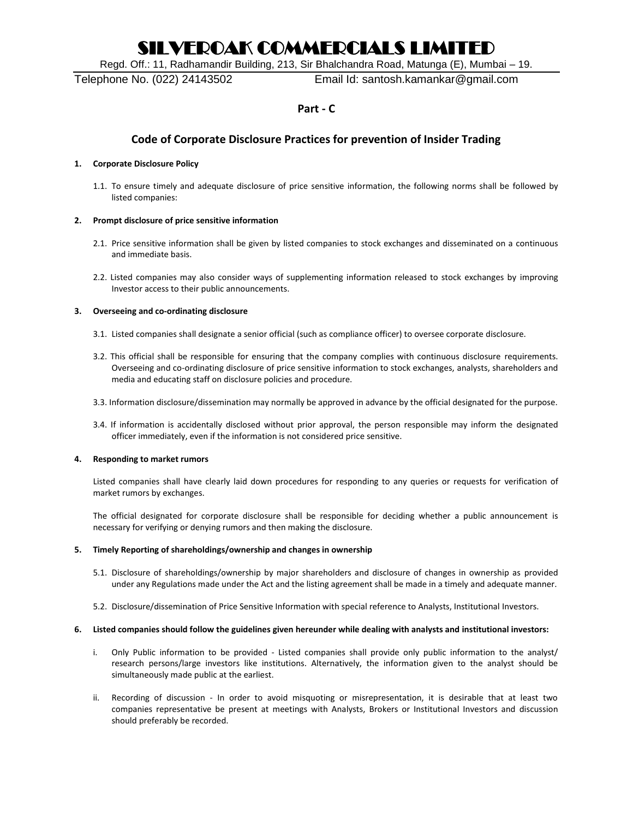Regd. Off.: 11, Radhamandir Building, 213, Sir Bhalchandra Road, Matunga (E), Mumbai – 19.

Telephone No. (022) 24143502 Email Id: santosh.kamankar@gmail.com

### **Part - C**

### **Code of Corporate Disclosure Practices for prevention of Insider Trading**

#### **1. Corporate Disclosure Policy**

1.1. To ensure timely and adequate disclosure of price sensitive information, the following norms shall be followed by listed companies:

#### **2. Prompt disclosure of price sensitive information**

- 2.1. Price sensitive information shall be given by listed companies to stock exchanges and disseminated on a continuous and immediate basis.
- 2.2. Listed companies may also consider ways of supplementing information released to stock exchanges by improving Investor access to their public announcements.

#### **3. Overseeing and co-ordinating disclosure**

- 3.1. Listed companies shall designate a senior official (such as compliance officer) to oversee corporate disclosure.
- 3.2. This official shall be responsible for ensuring that the company complies with continuous disclosure requirements. Overseeing and co-ordinating disclosure of price sensitive information to stock exchanges, analysts, shareholders and media and educating staff on disclosure policies and procedure.
- 3.3. Information disclosure/dissemination may normally be approved in advance by the official designated for the purpose.
- 3.4. If information is accidentally disclosed without prior approval, the person responsible may inform the designated officer immediately, even if the information is not considered price sensitive.

#### **4. Responding to market rumors**

Listed companies shall have clearly laid down procedures for responding to any queries or requests for verification of market rumors by exchanges.

The official designated for corporate disclosure shall be responsible for deciding whether a public announcement is necessary for verifying or denying rumors and then making the disclosure.

#### **5. Timely Reporting of shareholdings/ownership and changes in ownership**

- 5.1. Disclosure of shareholdings/ownership by major shareholders and disclosure of changes in ownership as provided under any Regulations made under the Act and the listing agreement shall be made in a timely and adequate manner.
- 5.2. Disclosure/dissemination of Price Sensitive Information with special reference to Analysts, Institutional Investors.

#### **6. Listed companies should follow the guidelines given hereunder while dealing with analysts and institutional investors:**

- i. Only Public information to be provided Listed companies shall provide only public information to the analyst/ research persons/large investors like institutions. Alternatively, the information given to the analyst should be simultaneously made public at the earliest.
- ii. Recording of discussion In order to avoid misquoting or misrepresentation, it is desirable that at least two companies representative be present at meetings with Analysts, Brokers or Institutional Investors and discussion should preferably be recorded.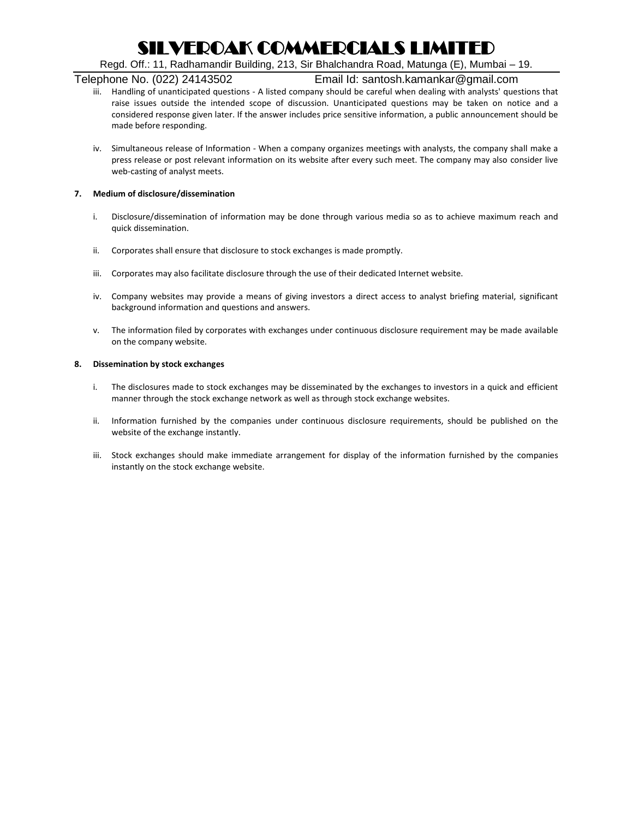Regd. Off.: 11, Radhamandir Building, 213, Sir Bhalchandra Road, Matunga (E), Mumbai – 19.

### Telephone No. (022) 24143502 Email Id: santosh.kamankar@gmail.com

- iii. Handling of unanticipated questions A listed company should be careful when dealing with analysts' questions that raise issues outside the intended scope of discussion. Unanticipated questions may be taken on notice and a considered response given later. If the answer includes price sensitive information, a public announcement should be made before responding.
- iv. Simultaneous release of Information When a company organizes meetings with analysts, the company shall make a press release or post relevant information on its website after every such meet. The company may also consider live web-casting of analyst meets.

#### **7. Medium of disclosure/dissemination**

- i. Disclosure/dissemination of information may be done through various media so as to achieve maximum reach and quick dissemination.
- ii. Corporates shall ensure that disclosure to stock exchanges is made promptly.
- iii. Corporates may also facilitate disclosure through the use of their dedicated Internet website.
- iv. Company websites may provide a means of giving investors a direct access to analyst briefing material, significant background information and questions and answers.
- v. The information filed by corporates with exchanges under continuous disclosure requirement may be made available on the company website.

#### **8. Dissemination by stock exchanges**

- i. The disclosures made to stock exchanges may be disseminated by the exchanges to investors in a quick and efficient manner through the stock exchange network as well as through stock exchange websites.
- ii. Information furnished by the companies under continuous disclosure requirements, should be published on the website of the exchange instantly.
- iii. Stock exchanges should make immediate arrangement for display of the information furnished by the companies instantly on the stock exchange website.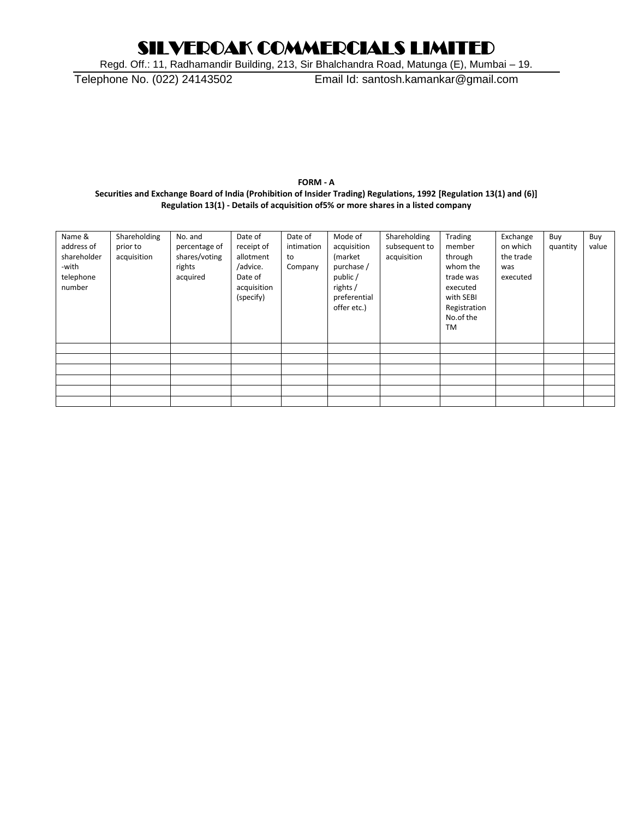Regd. Off.: 11, Radhamandir Building, 213, Sir Bhalchandra Road, Matunga (E), Mumbai – 19.

Telephone No. (022) 24143502 Email Id: santosh.kamankar@gmail.com

#### **FORM - A Securities and Exchange Board of India (Prohibition of Insider Trading) Regulations, 1992 [Regulation 13(1) and (6)] Regulation 13(1) - Details of acquisition of5% or more shares in a listed company**

| Name &<br>address of<br>shareholder<br>-with<br>telephone<br>number | Shareholding<br>prior to<br>acquisition | No. and<br>percentage of<br>shares/voting<br>rights<br>acquired | Date of<br>receipt of<br>allotment<br>/advice.<br>Date of<br>acquisition<br>(specify) | Date of<br>intimation<br>to<br>Company | Mode of<br>acquisition<br>(market<br>purchase /<br>public/<br>rights /<br>preferential<br>offer etc.) | Shareholding<br>subsequent to<br>acquisition | Trading<br>member<br>through<br>whom the<br>trade was<br>executed<br>with SEBI<br>Registration<br>No.of the<br><b>TM</b> | Exchange<br>on which<br>the trade<br>was<br>executed | Buy<br>quantity | Buy<br>value |
|---------------------------------------------------------------------|-----------------------------------------|-----------------------------------------------------------------|---------------------------------------------------------------------------------------|----------------------------------------|-------------------------------------------------------------------------------------------------------|----------------------------------------------|--------------------------------------------------------------------------------------------------------------------------|------------------------------------------------------|-----------------|--------------|
|                                                                     |                                         |                                                                 |                                                                                       |                                        |                                                                                                       |                                              |                                                                                                                          |                                                      |                 |              |
|                                                                     |                                         |                                                                 |                                                                                       |                                        |                                                                                                       |                                              |                                                                                                                          |                                                      |                 |              |
|                                                                     |                                         |                                                                 |                                                                                       |                                        |                                                                                                       |                                              |                                                                                                                          |                                                      |                 |              |
|                                                                     |                                         |                                                                 |                                                                                       |                                        |                                                                                                       |                                              |                                                                                                                          |                                                      |                 |              |
|                                                                     |                                         |                                                                 |                                                                                       |                                        |                                                                                                       |                                              |                                                                                                                          |                                                      |                 |              |
|                                                                     |                                         |                                                                 |                                                                                       |                                        |                                                                                                       |                                              |                                                                                                                          |                                                      |                 |              |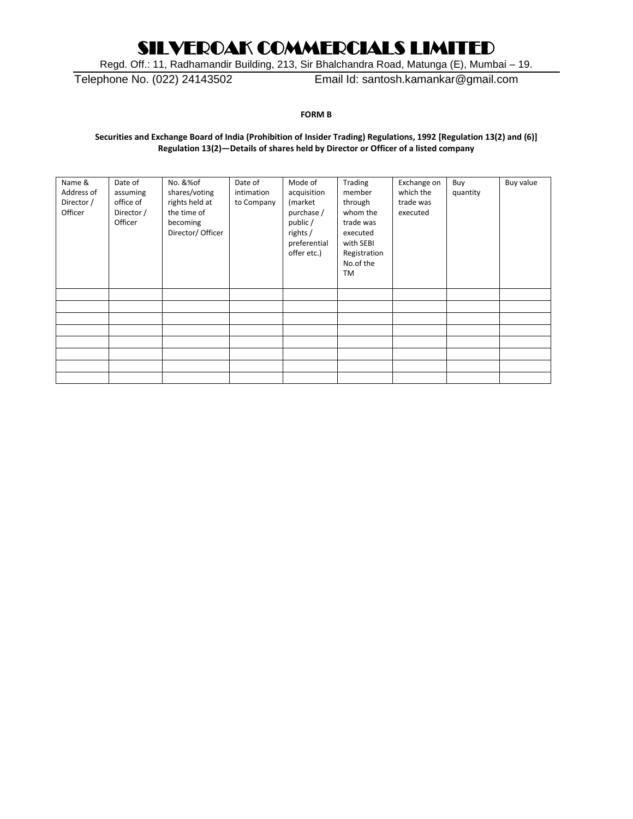Regd. Off.: 11, Radhamandir Building, 213, Sir Bhalchandra Road, Matunga (E), Mumbai – 19.

Telephone No. (022) 24143502 Email Id: santosh.kamankar@gmail.com

**FORM B**

#### **Securities and Exchange Board of India (Prohibition of Insider Trading) Regulations, 1992 [Regulation 13(2) and (6)] Regulation 13(2)—Details of shares held by Director or Officer of a listed company**

| Name &<br>Address of<br>Director /<br>Officer | Date of<br>assuming<br>office of<br>Director /<br>Officer | No. &%of<br>shares/voting<br>rights held at<br>the time of<br>becoming<br>Director/ Officer | Date of<br>intimation<br>to Company | Mode of<br>acquisition<br>(market<br>purchase /<br>public /<br>rights /<br>preferential<br>offer etc.) | Trading<br>member<br>through<br>whom the<br>trade was<br>executed<br>with SEBI<br>Registration<br>No.of the<br>TM | Exchange on<br>which the<br>trade was<br>executed | Buy<br>quantity | Buy value |
|-----------------------------------------------|-----------------------------------------------------------|---------------------------------------------------------------------------------------------|-------------------------------------|--------------------------------------------------------------------------------------------------------|-------------------------------------------------------------------------------------------------------------------|---------------------------------------------------|-----------------|-----------|
|                                               |                                                           |                                                                                             |                                     |                                                                                                        |                                                                                                                   |                                                   |                 |           |
|                                               |                                                           |                                                                                             |                                     |                                                                                                        |                                                                                                                   |                                                   |                 |           |
|                                               |                                                           |                                                                                             |                                     |                                                                                                        |                                                                                                                   |                                                   |                 |           |
|                                               |                                                           |                                                                                             |                                     |                                                                                                        |                                                                                                                   |                                                   |                 |           |
|                                               |                                                           |                                                                                             |                                     |                                                                                                        |                                                                                                                   |                                                   |                 |           |
|                                               |                                                           |                                                                                             |                                     |                                                                                                        |                                                                                                                   |                                                   |                 |           |
|                                               |                                                           |                                                                                             |                                     |                                                                                                        |                                                                                                                   |                                                   |                 |           |
|                                               |                                                           |                                                                                             |                                     |                                                                                                        |                                                                                                                   |                                                   |                 |           |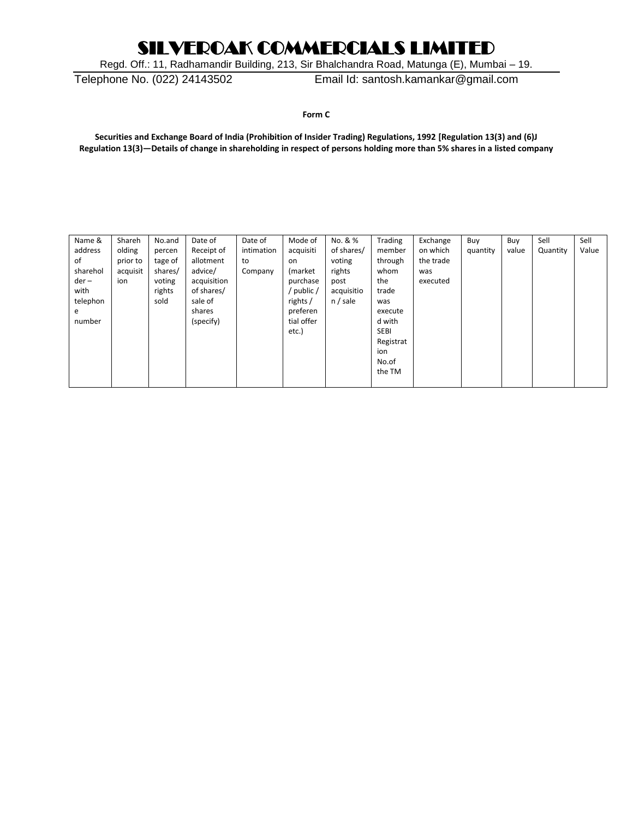Regd. Off.: 11, Radhamandir Building, 213, Sir Bhalchandra Road, Matunga (E), Mumbai – 19.

Telephone No. (022) 24143502 Email Id: santosh.kamankar@gmail.com

**Form C**

**Securities and Exchange Board of India (Prohibition of Insider Trading) Regulations, 1992 [Regulation 13(3) and (6)J Regulation 13(3)—Details of change in shareholding in respect of persons holding more than 5% shares in a listed company**

| Name &   | Shareh   | No.and  | Date of     | Date of    | Mode of    | No. & %    | Trading     | Exchange  | Buy      | Buy   | Sell     | Sell  |
|----------|----------|---------|-------------|------------|------------|------------|-------------|-----------|----------|-------|----------|-------|
| address  | olding   | percen  | Receipt of  | intimation | acquisiti  | of shares/ | member      | on which  | quantity | value | Quantity | Value |
| οf       | prior to | tage of | allotment   | to         | on.        | voting     | through     | the trade |          |       |          |       |
| sharehol | acquisit | shares/ | advice/     | Company    | (market)   | rights     | whom        | was       |          |       |          |       |
| $der -$  | ion      | voting  | acquisition |            | purchase   | post       | the         | executed  |          |       |          |       |
| with     |          | rights  | of shares/  |            | / public / | acquisitio | trade       |           |          |       |          |       |
| telephon |          | sold    | sale of     |            | rights/    | n / sale   | was         |           |          |       |          |       |
| e        |          |         | shares      |            | preferen   |            | execute     |           |          |       |          |       |
| number   |          |         | (specify)   |            | tial offer |            | d with      |           |          |       |          |       |
|          |          |         |             |            | etc.)      |            | <b>SEBI</b> |           |          |       |          |       |
|          |          |         |             |            |            |            | Registrat   |           |          |       |          |       |
|          |          |         |             |            |            |            | ion         |           |          |       |          |       |
|          |          |         |             |            |            |            | No.of       |           |          |       |          |       |
|          |          |         |             |            |            |            | the TM      |           |          |       |          |       |
|          |          |         |             |            |            |            |             |           |          |       |          |       |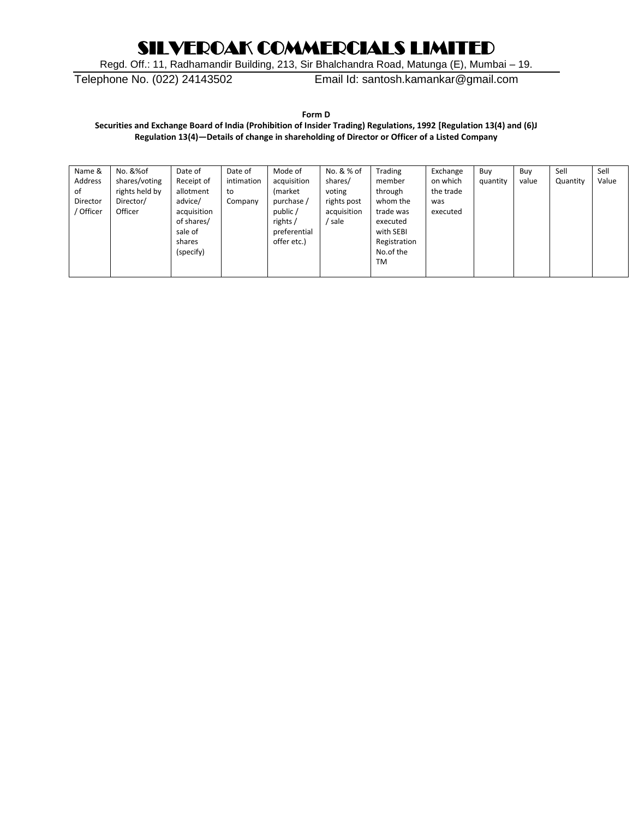Regd. Off.: 11, Radhamandir Building, 213, Sir Bhalchandra Road, Matunga (E), Mumbai – 19.

Telephone No. (022) 24143502 Email Id: santosh.kamankar@gmail.com

**Form D**

**Securities and Exchange Board of India (Prohibition of Insider Trading) Regulations, 1992 [Regulation 13(4) and (6)J Regulation 13(4)—Details of change in shareholding of Director or Officer of a Listed Company**

| Name &    | No. &%of       | Date of     | Date of    | Mode of      | No. & % of  | Trading      | Exchange  | Buy      | Buy   | Sell     | Sell  |
|-----------|----------------|-------------|------------|--------------|-------------|--------------|-----------|----------|-------|----------|-------|
| Address   | shares/voting  | Receipt of  | intimation | acquisition  | shares/     | member       | on which  | quantity | value | Quantity | Value |
| of        | rights held by | allotment   | to         | (market)     | voting      | through      | the trade |          |       |          |       |
| Director  | Director/      | advice/     | Company    | purchase /   | rights post | whom the     | was       |          |       |          |       |
| ' Officer | Officer        | acquisition |            | public /     | acquisition | trade was    | executed  |          |       |          |       |
|           |                | of shares/  |            | rights/      | sale        | executed     |           |          |       |          |       |
|           |                | sale of     |            | preferential |             | with SEBI    |           |          |       |          |       |
|           |                | shares      |            | offer etc.)  |             | Registration |           |          |       |          |       |
|           |                | (specify)   |            |              |             | No.of the    |           |          |       |          |       |
|           |                |             |            |              |             | TM           |           |          |       |          |       |
|           |                |             |            |              |             |              |           |          |       |          |       |